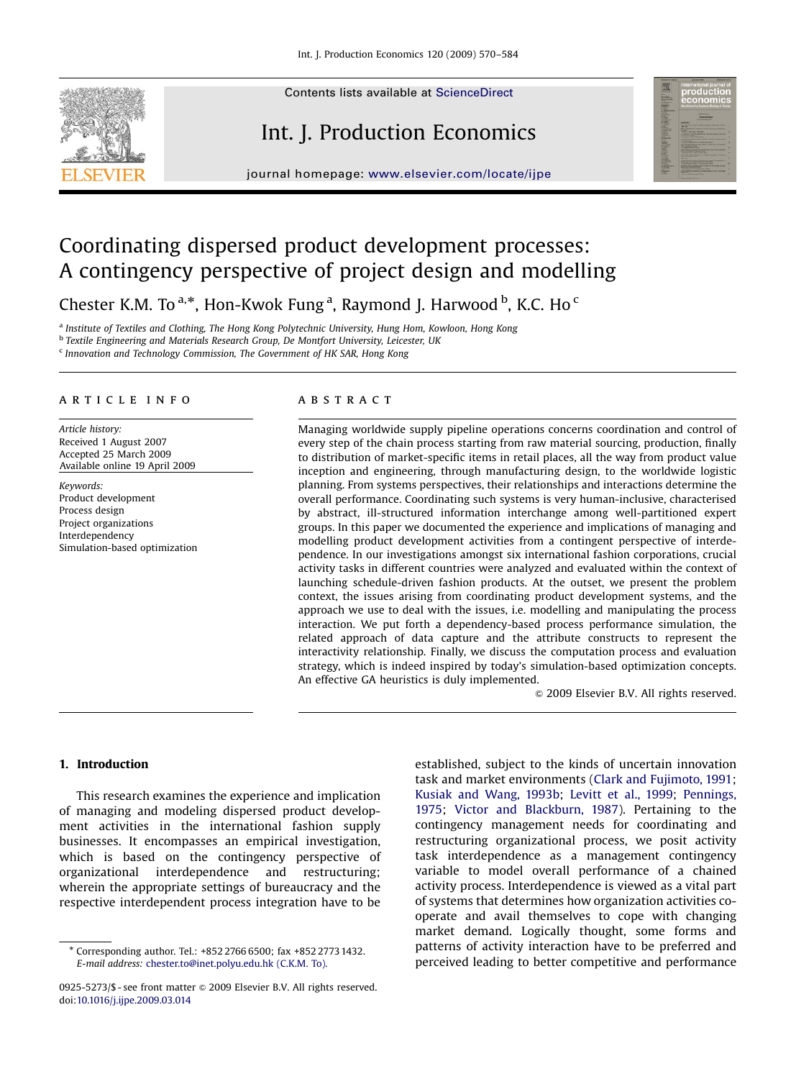

Contents lists available at [ScienceDirect](www.sciencedirect.com/science/journal/proeco)

### Int. J. Production Economics



journal homepage: <www.elsevier.com/locate/ijpe>

## Coordinating dispersed product development processes: A contingency perspective of project design and modelling

Chester K.M. To<sup>a,\*</sup>, Hon-Kwok Fung<sup>a</sup>, Raymond J. Harwood <sup>b</sup>, K.C. Ho<sup>c</sup>

<sup>a</sup> Institute of Textiles and Clothing, The Hong Kong Polytechnic University, Hung Hom, Kowloon, Hong Kong

b Textile Engineering and Materials Research Group, De Montfort University, Leicester, UK

<sup>c</sup> Innovation and Technology Commission, The Government of HK SAR, Hong Kong

### article info

Article history: Received 1 August 2007 Accepted 25 March 2009 Available online 19 April 2009

Keywords: Product development Process design Project organizations Interdependency Simulation-based optimization

#### **ABSTRACT**

Managing worldwide supply pipeline operations concerns coordination and control of every step of the chain process starting from raw material sourcing, production, finally to distribution of market-specific items in retail places, all the way from product value inception and engineering, through manufacturing design, to the worldwide logistic planning. From systems perspectives, their relationships and interactions determine the overall performance. Coordinating such systems is very human-inclusive, characterised by abstract, ill-structured information interchange among well-partitioned expert groups. In this paper we documented the experience and implications of managing and modelling product development activities from a contingent perspective of interdependence. In our investigations amongst six international fashion corporations, crucial activity tasks in different countries were analyzed and evaluated within the context of launching schedule-driven fashion products. At the outset, we present the problem context, the issues arising from coordinating product development systems, and the approach we use to deal with the issues, i.e. modelling and manipulating the process interaction. We put forth a dependency-based process performance simulation, the related approach of data capture and the attribute constructs to represent the interactivity relationship. Finally, we discuss the computation process and evaluation strategy, which is indeed inspired by today's simulation-based optimization concepts. An effective GA heuristics is duly implemented.

 $\odot$  2009 Elsevier B.V. All rights reserved.

#### 1. Introduction

This research examines the experience and implication of managing and modeling dispersed product development activities in the international fashion supply businesses. It encompasses an empirical investigation, which is based on the contingency perspective of organizational interdependence and restructuring; wherein the appropriate settings of bureaucracy and the respective interdependent process integration have to be

established, subject to the kinds of uncertain innovation task and market environments ([Clark and Fujimoto, 1991](#page--1-0); [Kusiak and Wang, 1993b](#page--1-0); [Levitt et al., 1999](#page--1-0); [Pennings,](#page--1-0) [1975;](#page--1-0) [Victor and Blackburn, 1987\)](#page--1-0). Pertaining to the contingency management needs for coordinating and restructuring organizational process, we posit activity task interdependence as a management contingency variable to model overall performance of a chained activity process. Interdependence is viewed as a vital part of systems that determines how organization activities cooperate and avail themselves to cope with changing market demand. Logically thought, some forms and patterns of activity interaction have to be preferred and perceived leading to better competitive and performance

<sup>-</sup> Corresponding author. Tel.: +852 2766 6500; fax +852 2773 1432. E-mail address: [chester.to@inet.polyu.edu.hk \(C.K.M. To\).](mailto:chester.to@inet.polyu.edu.hk)

<sup>0925-5273/\$ -</sup> see front matter  $\circ$  2009 Elsevier B.V. All rights reserved. doi:[10.1016/j.ijpe.2009.03.014](dx.doi.org/10.1016/j.ijpe.2009.03.014)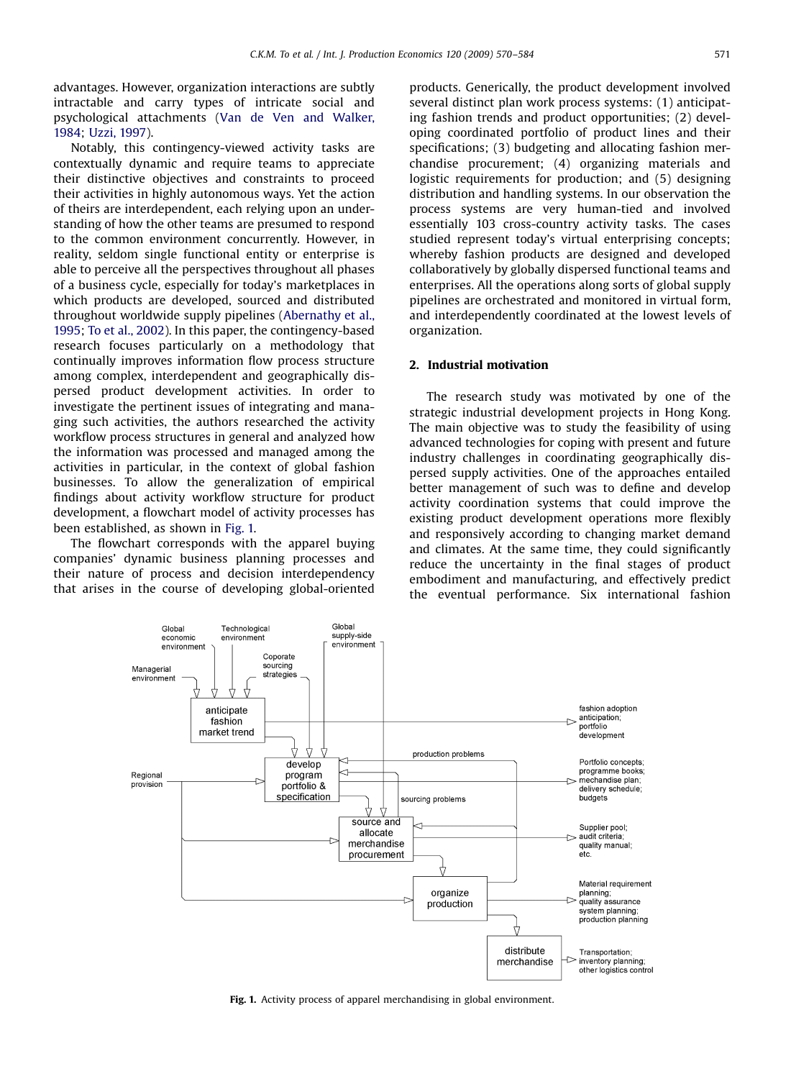advantages. However, organization interactions are subtly intractable and carry types of intricate social and psychological attachments [\(Van de Ven and Walker,](#page--1-0) [1984;](#page--1-0) [Uzzi, 1997\)](#page--1-0).

Notably, this contingency-viewed activity tasks are contextually dynamic and require teams to appreciate their distinctive objectives and constraints to proceed their activities in highly autonomous ways. Yet the action of theirs are interdependent, each relying upon an understanding of how the other teams are presumed to respond to the common environment concurrently. However, in reality, seldom single functional entity or enterprise is able to perceive all the perspectives throughout all phases of a business cycle, especially for today's marketplaces in which products are developed, sourced and distributed throughout worldwide supply pipelines [\(Abernathy et al.,](#page--1-0) [1995;](#page--1-0) [To et al., 2002](#page--1-0)). In this paper, the contingency-based research focuses particularly on a methodology that continually improves information flow process structure among complex, interdependent and geographically dispersed product development activities. In order to investigate the pertinent issues of integrating and managing such activities, the authors researched the activity workflow process structures in general and analyzed how the information was processed and managed among the activities in particular, in the context of global fashion businesses. To allow the generalization of empirical findings about activity workflow structure for product development, a flowchart model of activity processes has been established, as shown in Fig. 1.

The flowchart corresponds with the apparel buying companies' dynamic business planning processes and their nature of process and decision interdependency that arises in the course of developing global-oriented

products. Generically, the product development involved several distinct plan work process systems: (1) anticipating fashion trends and product opportunities; (2) developing coordinated portfolio of product lines and their specifications; (3) budgeting and allocating fashion merchandise procurement; (4) organizing materials and logistic requirements for production; and (5) designing distribution and handling systems. In our observation the process systems are very human-tied and involved essentially 103 cross-country activity tasks. The cases studied represent today's virtual enterprising concepts; whereby fashion products are designed and developed collaboratively by globally dispersed functional teams and enterprises. All the operations along sorts of global supply pipelines are orchestrated and monitored in virtual form, and interdependently coordinated at the lowest levels of organization.

#### 2. Industrial motivation

The research study was motivated by one of the strategic industrial development projects in Hong Kong. The main objective was to study the feasibility of using advanced technologies for coping with present and future industry challenges in coordinating geographically dispersed supply activities. One of the approaches entailed better management of such was to define and develop activity coordination systems that could improve the existing product development operations more flexibly and responsively according to changing market demand and climates. At the same time, they could significantly reduce the uncertainty in the final stages of product embodiment and manufacturing, and effectively predict the eventual performance. Six international fashion



Fig. 1. Activity process of apparel merchandising in global environment.